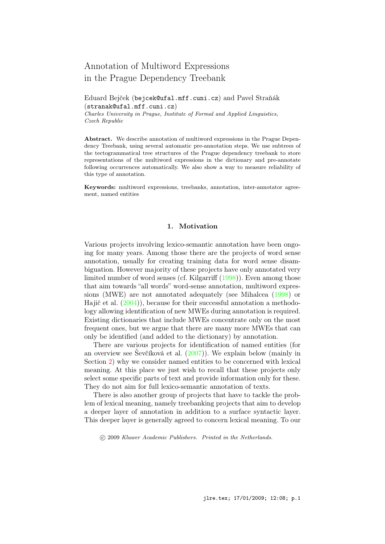# <span id="page-0-0"></span>Annotation of Multiword Expressions in the Prague Dependency Treebank

Eduard Bejček (bejcek@ufal.mff.cuni.cz) and Pavel Straňák (stranak@ufal.mff.cuni.cz) Charles University in Prague, Institute of Formal and Applied Linguistics,

Czech Republic

Abstract. We describe annotation of multiword expressions in the Prague Dependency Treebank, using several automatic pre-annotation steps. We use subtrees of the tectogrammatical tree structures of the Prague dependency treebank to store representations of the multiword expressions in the dictionary and pre-annotate following occurrences automatically. We also show a way to measure reliability of this type of annotation.

Keywords: multiword expressions, treebanks, annotation, inter-annotator agreement, named entities

## 1. Motivation

Various projects involving lexico-semantic annotation have been ongoing for many years. Among those there are the projects of word sense annotation, usually for creating training data for word sense disambiguation. However majority of these projects have only annotated very limited number of word senses (cf. Kilgarriff (1998)). Even among those that aim towards "all words" word-sense annotation, multiword expressions (MWE) are not annotated adequately (see Mihalcea (1998) or Hajič et al.  $(2004)$ ), because for their successful annotation a methodology allowing identification of new MWEs during annotation is required. Existing dictionaries that include MWEs concentrate only on the most frequent ones, but we argue that there are many more MWEs that can only be identified (and added to the dictionary) by annotation.

There are various projects for identification of named entities (for an overview see Ševčíková et al. (2007)). We explain below (mainly in Section [2\)](#page-3-0) why we consider named entities to be concerned with lexical meaning. At this place we just wish to recall that these projects only select some specific parts of text and provide information only for these. They do not aim for full lexico-semantic annotation of texts.

There is also another group of projects that have to tackle the problem of lexical meaning, namely treebanking projects that aim to develop a deeper layer of annotation in addition to a surface syntactic layer. This deeper layer is generally agreed to concern lexical meaning. To our

c 2009 Kluwer Academic Publishers. Printed in the Netherlands.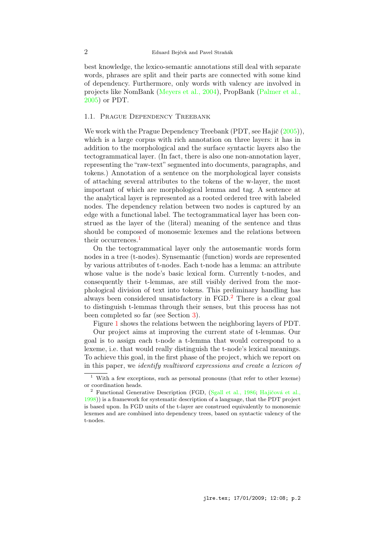best knowledge, the lexico-semantic annotations still deal with separate words, phrases are split and their parts are connected with some kind of dependency. Furthermore, only words with valency are involved in projects like NomBank [\(Meyers et al., 2004\)](#page-0-0), PropBank [\(Palmer et al.,](#page-0-0) [2005\)](#page-0-0) or PDT.

## 1.1. Prague Dependency Treebank

We work with the Prague Dependency Treebank (PDT, see Hajič  $(2005)$ ), which is a large corpus with rich annotation on three layers: it has in addition to the morphological and the surface syntactic layers also the tectogrammatical layer. (In fact, there is also one non-annotation layer, representing the "raw-text" segmented into documents, paragraphs, and tokens.) Annotation of a sentence on the morphological layer consists of attaching several attributes to the tokens of the w-layer, the most important of which are morphological lemma and tag. A sentence at the analytical layer is represented as a rooted ordered tree with labeled nodes. The dependency relation between two nodes is captured by an edge with a functional label. The tectogrammatical layer has been construed as the layer of the (literal) meaning of the sentence and thus should be composed of monosemic lexemes and the relations between their occurrences.<sup>[1](#page-1-0)</sup>

On the tectogrammatical layer only the autosemantic words form nodes in a tree (t-nodes). Synsemantic (function) words are represented by various attributes of t-nodes. Each t-node has a lemma: an attribute whose value is the node's basic lexical form. Currently t-nodes, and consequently their t-lemmas, are still visibly derived from the morphological division of text into tokens. This preliminary handling has always been considered unsatisfactory in FGD.[2](#page-1-1) There is a clear goal to distinguish t-lemmas through their senses, but this process has not been completed so far (see Section [3\)](#page-3-1).

Figure [1](#page-2-0) shows the relations between the neighboring layers of PDT.

Our project aims at improving the current state of t-lemmas. Our goal is to assign each t-node a t-lemma that would correspond to a lexeme, i.e. that would really distinguish the t-node's lexical meanings. To achieve this goal, in the first phase of the project, which we report on in this paper, we identify multiword expressions and create a lexicon of

<span id="page-1-0"></span> $^1\,$  With a few exceptions, such as personal pronouns (that refer to other lexeme) or coordination heads.

<span id="page-1-1"></span><sup>&</sup>lt;sup>2</sup> Functional Generative Description (FGD, [\(Sgall et al., 1986;](#page-0-0) Hajičová et al., [1998\)](#page-0-0)) is a framework for systematic description of a language, that the PDT project is based upon. In FGD units of the t-layer are construed equivalently to monosemic lexemes and are combined into dependency trees, based on syntactic valency of the t-nodes.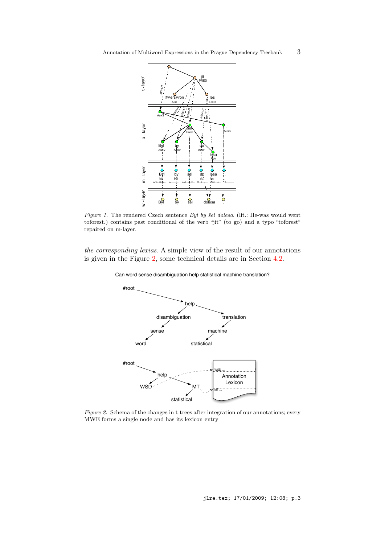

<span id="page-2-0"></span>Figure 1. The rendered Czech sentence Byl by šel dolesa. (lit.: He-was would went toforest.) contains past conditional of the verb "jít" (to go) and a typo "toforest" repaired on m-layer.

the corresponding lexias. A simple view of the result of our annotations is given in the Figure [2,](#page-2-1) some technical details are in Section [4.2.](#page-5-0)



Can word sense disambiguation help statistical machine translation?

<span id="page-2-1"></span>Figure 2. Schema of the changes in t-trees after integration of our annotations; every MWE forms a single node and has its lexicon entry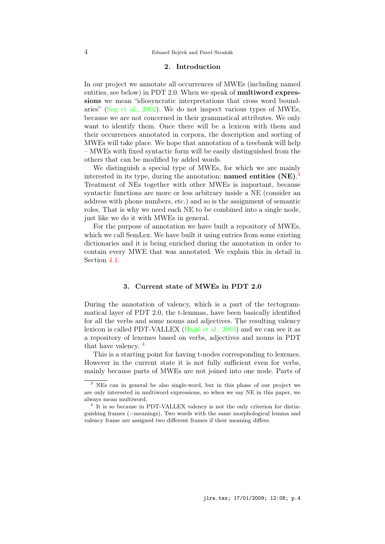## 2. Introduction

<span id="page-3-0"></span>In our project we annotate all occurrences of MWEs (including named entities, see below) in PDT 2.0. When we speak of multiword expressions we mean "idiosyncratic interpretations that cross word boundaries" [\(Sag et al., 2002\)](#page-0-0). We do not inspect various types of MWEs, because we are not concerned in their grammatical attributes. We only want to identify them. Once there will be a lexicon with them and their occurrences annotated in corpora, the description and sorting of MWEs will take place. We hope that annotation of a treebank will help – MWEs with fixed syntactic form will be easily distinguished from the others that can be modified by added words.

We distinguish a special type of MWEs, for which we are mainly interested in its type, during the annotation: **named entities**  $(NE)$ <sup>[3](#page-3-2)</sup> Treatment of NEs together with other MWEs is important, because syntactic functions are more or less arbitrary inside a NE (consider an address with phone numbers, etc.) and so is the assignment of semantic roles. That is why we need each NE to be combined into a single node, just like we do it with MWEs in general.

<span id="page-3-1"></span>For the purpose of annotation we have built a repository of MWEs, which we call SemLex. We have built it using entries from some existing dictionaries and it is being enriched during the annotation in order to contain every MWE that was annotated. We explain this in detail in Section [4.1.](#page-4-0)

## 3. Current state of MWEs in PDT 2.0

During the annotation of valency, which is a part of the tectogrammatical layer of PDT 2.0, the t-lemmas, have been basically identified for all the verbs and some nouns and adjectives. The resulting valency lexicon is called PDT-VALLEX [\(Hajič et al., 2003\)](#page-0-0) and we can see it as a repository of lexemes based on verbs, adjectives and nouns in PDT that have valency. [4](#page-3-3)

This is a starting point for having t-nodes corresponding to lexemes. However in the current state it is not fully sufficient even for verbs, mainly because parts of MWEs are not joined into one node. Parts of

<span id="page-3-2"></span><sup>3</sup> NEs can in general be also single-word, but in this phase of our project we are only interested in multiword expressions, so when we say NE in this paper, we always mean multiword.

<span id="page-3-3"></span><sup>&</sup>lt;sup>4</sup> It is so because in PDT-VALLEX valency is not the only criterion for distinguishing frames (=meanings). Two words with the same morphological lemma and valency frame are assigned two different frames if their meaning differs.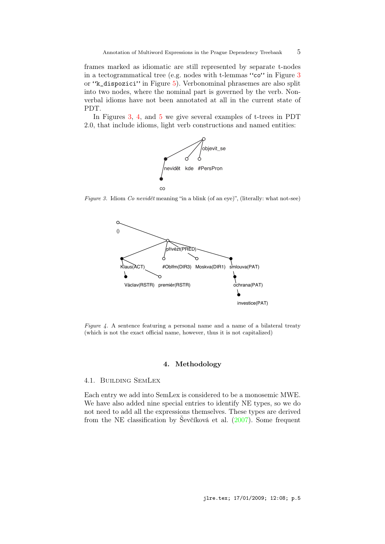frames marked as idiomatic are still represented by separate t-nodes in a tectogrammatical tree (e.g. nodes with t-lemmas "co" in Figure [3](#page-4-1) or "k\_dispozici" in Figure [5\)](#page-5-1). Verbonominal phrasemes are also split into two nodes, where the nominal part is governed by the verb. Nonverbal idioms have not been annotated at all in the current state of PDT.

In Figures [3,](#page-4-1) [4,](#page-4-2) and [5](#page-5-1) we give several examples of t-trees in PDT 2.0, that include idioms, light verb constructions and named entities:



Figure 3. Idiom Co nevidět meaning "in a blink (of an eye)", (literally: what not-see)

<span id="page-4-1"></span>

<span id="page-4-2"></span>Figure 4. A sentence featuring a personal name and a name of a bilateral treaty (which is not the exact official name, however, thus it is not capitalized)

## 4. Methodology

## <span id="page-4-0"></span>4.1. Building SemLex

Each entry we add into SemLex is considered to be a monosemic MWE. We have also added nine special entries to identify NE types, so we do not need to add all the expressions themselves. These types are derived from the NE classification by Ševčíková et al. [\(2007\)](#page-0-0). Some frequent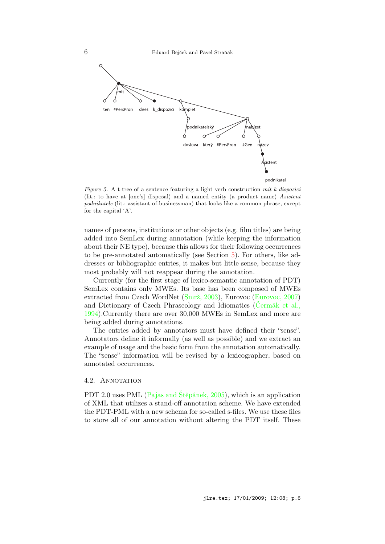6 Eduard Bejček and Pavel Straňák



<span id="page-5-1"></span>Figure 5. A t-tree of a sentence featuring a light verb construction mit k dispozici (lit.: to have at [one's] disposal) and a named entity (a product name) Asistent podnikatele (lit.: assistant of-businessman) that looks like a common phrase, except for the capital 'A'.

names of persons, institutions or other objects (e.g. film titles) are being added into SemLex during annotation (while keeping the information about their NE type), because this allows for their following occurrences to be pre-annotated automatically (see Section [5\)](#page-6-0). For others, like addresses or bibliographic entries, it makes but little sense, because they most probably will not reappear during the annotation.

Currently (for the first stage of lexico-semantic annotation of PDT) SemLex contains only MWEs. Its base has been composed of MWEs extracted from Czech WordNet [\(Smrž, 2003\)](#page-0-0), Eurovoc [\(Eurovoc, 2007\)](#page-0-0) and Dictionary of Czech Phraseology and Idiomatics [\(Čermák et al.,](#page-0-0) [1994\)](#page-0-0).Currently there are over 30,000 MWEs in SemLex and more are being added during annotations.

The entries added by annotators must have defined their "sense". Annotators define it informally (as well as possible) and we extract an example of usage and the basic form from the annotation automatically. The "sense" information will be revised by a lexicographer, based on annotated occurrences.

## <span id="page-5-0"></span>4.2. ANNOTATION

PDT 2.0 uses PML [\(Pajas and Štěpánek, 2005\)](#page-0-0), which is an application of XML that utilizes a stand-off annotation scheme. We have extended the PDT-PML with a new schema for so-called s-files. We use these files to store all of our annotation without altering the PDT itself. These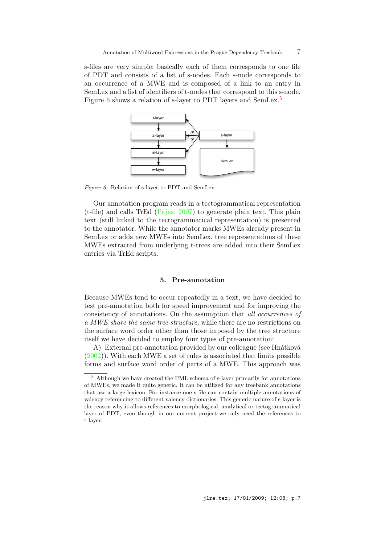s-files are very simple: basically each of them corresponds to one file of PDT and consists of a list of s-nodes. Each s-node corresponds to an occurrence of a MWE and is composed of a link to an entry in SemLex and a list of identifiers of t-nodes that correspond to this s-node. Figure [6](#page-6-1) shows a relation of s-layer to PDT layers and SemLex.<sup>[5](#page-6-2)</sup>



<span id="page-6-1"></span>Figure 6. Relation of s-layer to PDT and SemLex

Our annotation program reads in a tectogrammatical representation (t-file) and calls TrEd [\(Pajas, 2007\)](#page-0-0) to generate plain text. This plain text (still linked to the tectogrammatical representation) is presented to the annotator. While the annotator marks MWEs already present in SemLex or adds new MWEs into SemLex, tree representations of these MWEs extracted from underlying t-trees are added into their SemLex entries via TrEd scripts.

## 5. Pre-annotation

<span id="page-6-0"></span>Because MWEs tend to occur repeatedly in a text, we have decided to test pre-annotation both for speed improvement and for improving the consistency of annotations. On the assumption that all occurrences of a MWE share the same tree structure, while there are no restrictions on the surface word order other than those imposed by the tree structure itself we have decided to employ four types of pre-annotation:

<span id="page-6-3"></span>A) External pre-annotation provided by our colleague (see Hnátková [\(2002\)](#page-0-0)). With each MWE a set of rules is associated that limits possible forms and surface word order of parts of a MWE. This approach was

<span id="page-6-2"></span> $^5\,$  Although we have created the PML schema of s-layer primarily for annotations of MWEs, we made it quite generic. It can be utilized for any treebank annotations that use a large lexicon. For instance one s-file can contain multiple annotations of valency referencing to different valency dictionaries. This generic nature of s-layer is the reason why it allows references to morphological, analytical or tectogrammatical layer of PDT, even though in our current project we only need the references to t-layer.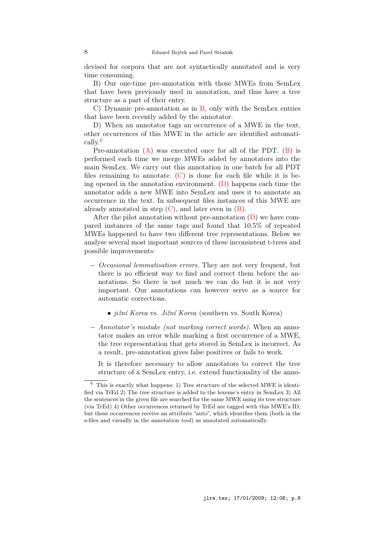devised for corpora that are not syntactically annotated and is very time consuming.

<span id="page-7-0"></span>B) Our one-time pre-annotation with those MWEs from SemLex that have been previously used in annotation, and thus have a tree structure as a part of their entry.

<span id="page-7-2"></span>C) Dynamic pre-annotation as in [B,](#page-7-0) only with the SemLex entries that have been recently added by the annotator.

<span id="page-7-3"></span>D) When an annotator tags an occurrence of a MWE in the text, other occurrences of this MWE in the article are identified automatically.[6](#page-7-1)

Pre-annotation [\(A\)](#page-6-3) was executed once for all of the PDT. [\(B\)](#page-7-0) is performed each time we merge MWEs added by annotators into the main SemLex. We carry out this annotation in one batch for all PDT files remaining to annotate.  $(C)$  is done for each file while it is being opened in the annotation environment.  $(D)$  happens each time the annotator adds a new MWE into SemLex and uses it to annotate an occurrence in the text. In subsequent files instances of this MWE are already annotated in step  $(C)$ , and later even in  $(B)$ .

After the pilot annotation without pre-annotation  $(D)$  we have compared instances of the same tags and found that 10.5% of repeated MWEs happened to have two different tree representations. Below we analyse several most important sources of these inconsistent t-trees and possible improvements:

- − Occasional lemmatisation errors. They are not very frequent, but there is no efficient way to find and correct them before the annotations. So there is not much we can do but it is not very important. Our annotations can however serve as a source for automatic corrections.
	- *jižní Korea* vs. *Jižní Korea* (southern vs. South Korea)
- − Annotator's mistake (not marking correct words). When an annotator makes an error while marking a first occurrence of a MWE, the tree representation that gets stored in SemLex is incorrect. As a result, pre-annotation gives false positives or fails to work.

It is therefore necessary to allow annotators to correct the tree structure of a SemLex entry, i.e. extend functionality of the anno-

<span id="page-7-1"></span> $6$  This is exactly what happens: 1) Tree structure of the selected MWE is identified via TrEd 2) The tree structure is added to the lexeme's entry in SemLex 3) All the sentences in the given file are searched for the same MWE using its tree structure (via TrEd) 4) Other occurrences returned by TrEd are tagged with this MWE's ID, but these occurrences receive an attribute "auto", which identifies them (both in the s-files and visually in the annotation tool) as annotated automatically.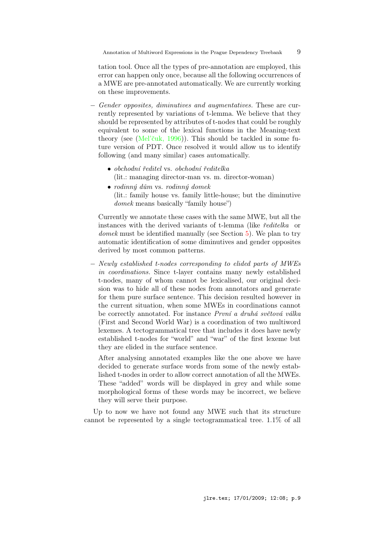tation tool. Once all the types of pre-annotation are employed, this error can happen only once, because all the following occurrences of a MWE are pre-annotated automatically. We are currently working on these improvements.

- − Gender opposites, diminutives and augmentatives. These are currently represented by variations of t-lemma. We believe that they should be represented by attributes of t-nodes that could be roughly equivalent to some of the lexical functions in the Meaning-text theory (see [\(Mel'čuk, 1996\)](#page-0-0)). This should be tackled in some future version of PDT. Once resolved it would allow us to identify following (and many similar) cases automatically.
	- obchodní ředitel vs. obchodní ředitelka (lit.: managing director-man vs. m. director-woman)
	- rodinný dům vs. rodinný domek (lit.: family house vs. family little-house; but the diminutive domek means basically "family house")

Currently we annotate these cases with the same MWE, but all the instances with the derived variants of t-lemma (like ředitelka or domek must be identified manually (see Section [5\)](#page-6-0). We plan to try automatic identification of some diminutives and gender opposites derived by most common patterns.

− Newly established t-nodes corresponding to elided parts of MWEs in coordinations. Since t-layer contains many newly established t-nodes, many of whom cannot be lexicalised, our original decision was to hide all of these nodes from annotators and generate for them pure surface sentence. This decision resulted however in the current situation, when some MWEs in coordinations cannot be correctly annotated. For instance První a druhá světová válka (First and Second World War) is a coordination of two multiword lexemes. A tectogrammatical tree that includes it does have newly established t-nodes for "world" and "war" of the first lexeme but they are elided in the surface sentence.

After analysing annotated examples like the one above we have decided to generate surface words from some of the newly established t-nodes in order to allow correct annotation of all the MWEs. These "added" words will be displayed in grey and while some morphological forms of these words may be incorrect, we believe they will serve their purpose.

Up to now we have not found any MWE such that its structure cannot be represented by a single tectogrammatical tree. 1.1% of all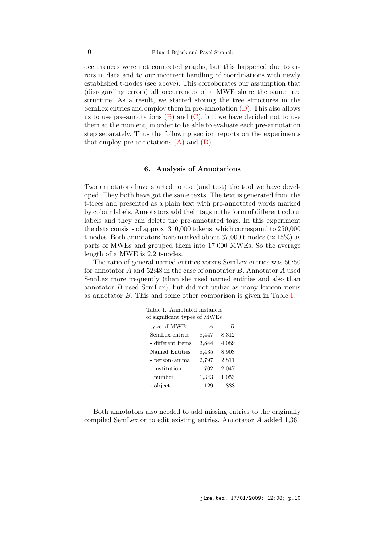occurrences were not connected graphs, but this happened due to errors in data and to our incorrect handling of coordinations with newly established t-nodes (see above). This corroborates our assumption that (disregarding errors) all occurrences of a MWE share the same tree structure. As a result, we started storing the tree structures in the SemLex entries and employ them in pre-annotation [\(D\)](#page-7-3). This also allows us to use pre-annotations  $(B)$  and  $(C)$ , but we have decided not to use them at the moment, in order to be able to evaluate each pre-annotation step separately. Thus the following section reports on the experiments that employ pre-annotations  $(A)$  and  $(D)$ .

## 6. Analysis of Annotations

Two annotators have started to use (and test) the tool we have developed. They both have got the same texts. The text is generated from the t-trees and presented as a plain text with pre-annotated words marked by colour labels. Annotators add their tags in the form of different colour labels and they can delete the pre-annotated tags. In this experiment the data consists of approx. 310,000 tokens, which correspond to 250,000 t-nodes. Both annotators have marked about 37,000 t-nodes ( $\approx 15\%$ ) as parts of MWEs and grouped them into 17,000 MWEs. So the average length of a MWE is 2.2 t-nodes.

The ratio of general named entities versus SemLex entries was 50:50 for annotator A and 52:48 in the case of annotator B. Annotator A used SemLex more frequently (than she used named entities and also than annotator B used SemLex), but did not utilize as many lexicon items as annotator B. This and some other comparison is given in Table [I.](#page-9-0)

| type of MWE       | $\overline{A}$ |       |
|-------------------|----------------|-------|
| SemLex entries    | 8,447          | 8,312 |
| - different items | 3,844          | 4,089 |
| Named Entities    | 8,435          | 8,903 |
| - person/animal   | 2,797          | 2,811 |
| - institution     | 1,702          | 2,047 |
| - number          | 1,343          | 1,053 |
| - object          | 1,129          | 888   |

<span id="page-9-0"></span>Table I. Annotated instances of significant types of MWEs

Both annotators also needed to add missing entries to the originally compiled SemLex or to edit existing entries. Annotator A added 1,361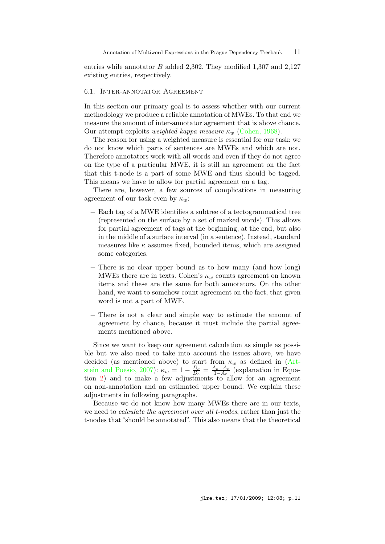entries while annotator  $B$  added 2,302. They modified 1,307 and 2,127 existing entries, respectively.

#### 6.1. Inter-annotator Agreement

In this section our primary goal is to assess whether with our current methodology we produce a reliable annotation of MWEs. To that end we measure the amount of inter-annotator agreement that is above chance. Our attempt exploits weighted kappa measure  $\kappa_w$  [\(Cohen, 1968\)](#page-0-0).

The reason for using a weighted measure is essential for our task: we do not know which parts of sentences are MWEs and which are not. Therefore annotators work with all words and even if they do not agree on the type of a particular MWE, it is still an agreement on the fact that this t-node is a part of some MWE and thus should be tagged. This means we have to allow for partial agreement on a tag.

There are, however, a few sources of complications in measuring agreement of our task even by  $\kappa_w$ :

- − Each tag of a MWE identifies a subtree of a tectogrammatical tree (represented on the surface by a set of marked words). This allows for partial agreement of tags at the beginning, at the end, but also in the middle of a surface interval (in a sentence). Instead, standard measures like  $\kappa$  assumes fixed, bounded items, which are assigned some categories.
- − There is no clear upper bound as to how many (and how long) MWEs there are in texts. Cohen's  $\kappa_w$  counts agreement on known items and these are the same for both annotators. On the other hand, we want to somehow count agreement on the fact, that given word is not a part of MWE.
- − There is not a clear and simple way to estimate the amount of agreement by chance, because it must include the partial agreements mentioned above.

Since we want to keep our agreement calculation as simple as possible but we also need to take into account the issues above, we have decided (as mentioned above) to start from  $\kappa_w$  as defined in [\(Art](#page-0-0)[stein and Poesio, 2007\)](#page-0-0):  $\kappa_w = 1 - \frac{D_o}{D_o}$  $\frac{D_o}{D_e} = \frac{A_o - A_e}{1 - A_e}$  $\frac{A_o - A_e}{1 - A_e}$  (explanation in Equation [2\)](#page-13-0) and to make a few adjustments to allow for an agreement on non-annotation and an estimated upper bound. We explain these adjustments in following paragraphs.

Because we do not know how many MWEs there are in our texts, we need to *calculate the agreement over all t-nodes*, rather than just the t-nodes that "should be annotated". This also means that the theoretical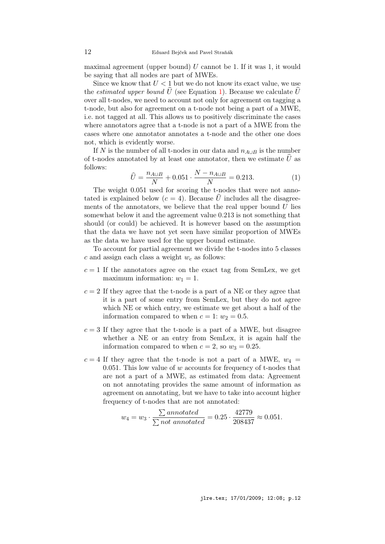maximal agreement (upper bound)  $U$  cannot be 1. If it was 1, it would be saying that all nodes are part of MWEs.

Since we know that  $U < 1$  but we do not know its exact value, we use the *estimated upper bound*  $\widehat{U}$  (see Equation [1\)](#page-11-0). Because we calculate  $\widehat{U}$ over all t-nodes, we need to account not only for agreement on tagging a t-node, but also for agreement on a t-node not being a part of a MWE, i.e. not tagged at all. This allows us to positively discriminate the cases where annotators agree that a t-node is not a part of a MWE from the cases where one annotator annotates a t-node and the other one does not, which is evidently worse.

If N is the number of all t-nodes in our data and  $n_{A\cup B}$  is the number of t-nodes annotated by at least one annotator, then we estimate  $\hat{U}$  as follows:

<span id="page-11-0"></span>
$$
\hat{U} = \frac{n_{A \cup B}}{N} + 0.051 \cdot \frac{N - n_{A \cup B}}{N} = 0.213. \tag{1}
$$

The weight 0.051 used for scoring the t-nodes that were not annotated is explained below  $(c = 4)$ . Because  $\hat{U}$  includes all the disagreements of the annotators, we believe that the real upper bound  $U$  lies somewhat below it and the agreement value 0.213 is not something that should (or could) be achieved. It is however based on the assumption that the data we have not yet seen have similar proportion of MWEs as the data we have used for the upper bound estimate.

To account for partial agreement we divide the t-nodes into 5 classes  $c$  and assign each class a weight  $w_c$  as follows:

- $c = 1$  If the annotators agree on the exact tag from SemLex, we get maximum information:  $w_1 = 1$ .
- $c = 2$  If they agree that the t-node is a part of a NE or they agree that it is a part of some entry from SemLex, but they do not agree which NE or which entry, we estimate we get about a half of the information compared to when  $c = 1$ :  $w_2 = 0.5$ .
- $c = 3$  If they agree that the t-node is a part of a MWE, but disagree whether a NE or an entry from SemLex, it is again half the information compared to when  $c = 2$ , so  $w_3 = 0.25$ .
- $c = 4$  If they agree that the t-node is not a part of a MWE,  $w_4 =$ 0.051. This low value of  $w$  accounts for frequency of t-nodes that are not a part of a MWE, as estimated from data: Agreement on not annotating provides the same amount of information as agreement on annotating, but we have to take into account higher frequency of t-nodes that are not annotated:

$$
w_4 = w_3 \cdot \frac{\sum annotated}{\sum not annotated} = 0.25 \cdot \frac{42779}{208437} \approx 0.051.
$$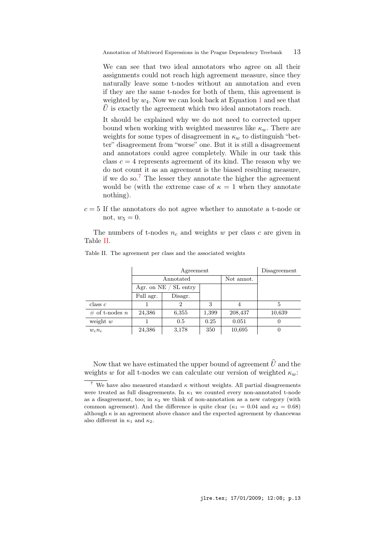We can see that two ideal annotators who agree on all their assignments could not reach high agreement measure, since they naturally leave some t-nodes without an annotation and even if they are the same t-nodes for both of them, this agreement is weighted by  $w_4$ . Now we can look back at Equation [1](#page-11-0) and see that  $\hat{U}$  is exactly the agreement which two ideal annotators reach.

It should be explained why we do not need to corrected upper bound when working with weighted measures like  $\kappa_w$ . There are weights for some types of disagreement in  $\kappa_w$  to distinguish "better" disagreement from "worse" one. But it is still a disagreement and annotators could agree completely. While in our task this class  $c = 4$  represents agreement of its kind. The reason why we do not count it as an agreement is the biased resulting measure, if we do so.[7](#page-12-0) The lesser they annotate the higher the agreement would be (with the extreme case of  $\kappa = 1$  when they annotate nothing).

 $c = 5$  If the annotators do not agree whether to annotate a t-node or not,  $w_5 = 0$ .

The numbers of t-nodes  $n_c$  and weights w per class c are given in Table [II.](#page-12-1)

|                  |                         | Disagreement |       |            |          |
|------------------|-------------------------|--------------|-------|------------|----------|
|                  | Annotated               |              |       | Not annot. |          |
|                  | Agr. on $NE / SL$ entry |              |       |            |          |
|                  | Full agr.               | Disagr.      |       |            |          |
| class c          |                         | 2            | 3     |            | 5        |
| # of t-nodes $n$ | 24,386                  | 6,355        | 1,399 | 208,437    | 10,639   |
| weight $w$       |                         | 0.5          | 0.25  | 0.051      | $\theta$ |
| $w_c n_c$        | 24,386                  | 3,178        | 350   | 10,695     | 0        |

Table II. The agreement per class and the associated weights

<span id="page-12-1"></span>Now that we have estimated the upper bound of agreement  $\hat{U}$  and the weights w for all t-nodes we can calculate our version of weighted  $\kappa_w$ :

<span id="page-12-0"></span><sup>&</sup>lt;sup>7</sup> We have also measured standard  $\kappa$  without weights. All partial disagreements were treated as full disagreements. In  $\kappa_1$  we counted every non-annotated t-node as a disagreement, too; in  $\kappa_2$  we think of non-annotation as a new category (with common agreement). And the difference is quite clear ( $\kappa_1 = 0.04$  and  $\kappa_2 = 0.68$ ) although  $\kappa$  is an agreement above chance and the expected agreement by chancewas also different in  $\kappa_1$  and  $\kappa_2$ .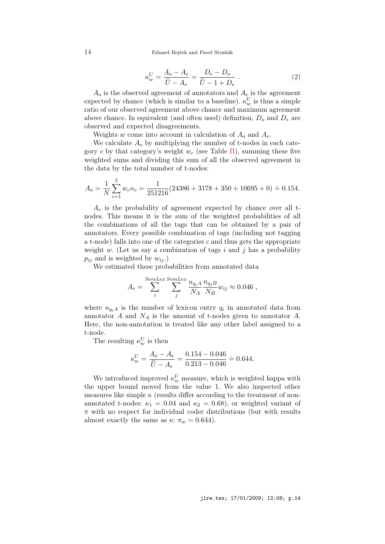14 Eduard Bejček and Pavel Straňák

<span id="page-13-0"></span>
$$
\kappa_w^U = \frac{A_o - A_e}{\hat{U} - A_e} = \frac{D_e - D_o}{\hat{U} - 1 + D_e} \ . \tag{2}
$$

 $A_o$  is the observed agreement of annotators and  $A_e$  is the agreement expected by chance (which is similar to a baseline).  $\kappa_w^U$  is thus a simple ratio of our observed agreement above chance and maximum agreement above chance. In equivalent (and often used) definition,  $D<sub>o</sub>$  and  $D<sub>e</sub>$  are observed and expected disagreements.

Weights w come into account in calculation of  $A_o$  and  $A_e$ .

We calculate  $A_0$  by multiplying the number of t-nodes in each category c by that category's weight  $w_c$  (see Table [II\)](#page-12-1), summing these five weighted sums and dividing this sum of all the observed agreement in the data by the total number of t-nodes:

$$
A_o = \frac{1}{N} \sum_{c=1}^{5} w_c n_c = \frac{1}{251216} (24386 + 3178 + 350 + 10695 + 0) \approx 0.154.
$$

 $A_e$  is the probability of agreement expected by chance over all tnodes. This means it is the sum of the weighted probabilities of all the combinations of all the tags that can be obtained by a pair of annotators. Every possible combination of tags (including not tagging a t-node) falls into one of the categories c and thus gets the appropriate weight w. (Let us say a combination of tags i and j has a probability  $p_{ij}$  and is weighted by  $w_{ij}$ .)

We estimated these probabilities from annotated data

$$
A_e = \sum_{i}^{SemLex} \sum_{j}^{SemLex} \frac{n_{q_i A}}{N_A} \frac{n_{q_j B}}{N_B} w_{ij} \approx 0.046 ,
$$

where  $n_{q_i}$  is the number of lexicon entry  $q_i$  in annotated data from annotator A and  $N_A$  is the amount of t-nodes given to annotator A. Here, the non-annotation is treated like any other label assigned to a t-node.

The resulting  $\kappa_w^U$  is then

$$
\kappa_w^U = \frac{A_o - A_e}{\hat{U} - A_e} = \frac{0.154 - 0.046}{0.213 - 0.046} \doteq 0.644.
$$

We introduced improved  $\kappa_w^U$  measure, which is weighted kappa with the upper bound moved from the value 1. We also inspected other measures like simple  $\kappa$  (results differ according to the treatment of nonannotated t-nodes:  $\kappa_1 = 0.04$  and  $\kappa_2 = 0.68$ ), or weighted variant of  $\pi$  with no respect for individual coder distributions (but with results almost exactly the same as  $\kappa$ :  $\pi_w = 0.644$ .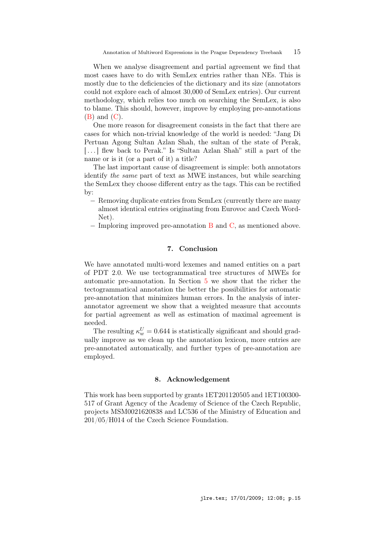When we analyse disagreement and partial agreement we find that most cases have to do with SemLex entries rather than NEs. This is mostly due to the deficiencies of the dictionary and its size (annotators could not explore each of almost 30,000 of SemLex entries). Our current methodology, which relies too much on searching the SemLex, is also to blame. This should, however, improve by employing pre-annotations  $(B)$  and  $(C)$ .

One more reason for disagreement consists in the fact that there are cases for which non-trivial knowledge of the world is needed: "Jang Di Pertuan Agong Sultan Azlan Shah, the sultan of the state of Perak, [ . . . ] flew back to Perak." Is "Sultan Azlan Shah" still a part of the name or is it (or a part of it) a title?

The last important cause of disagreement is simple: both annotators identify the same part of text as MWE instances, but while searching the SemLex they choose different entry as the tags. This can be rectified by:

- − Removing duplicate entries from SemLex (currently there are many almost identical entries originating from Eurovoc and Czech Word-Net).
- − Imploring improved pre-annotation [B](#page-7-0) and [C,](#page-7-2) as mentioned above.

## 7. Conclusion

We have annotated multi-word lexemes and named entities on a part of PDT 2.0. We use tectogrammatical tree structures of MWEs for automatic pre-annotation. In Section [5](#page-6-0) we show that the richer the tectogrammatical annotation the better the possibilities for automatic pre-annotation that minimizes human errors. In the analysis of interannotator agreement we show that a weighted measure that accounts for partial agreement as well as estimation of maximal agreement is needed.

The resulting  $\kappa_w^U = 0.644$  is statistically significant and should gradually improve as we clean up the annotation lexicon, more entries are pre-annotated automatically, and further types of pre-annotation are employed.

## 8. Acknowledgement

This work has been supported by grants 1ET201120505 and 1ET100300- 517 of Grant Agency of the Academy of Science of the Czech Republic, projects MSM0021620838 and LC536 of the Ministry of Education and 201/05/H014 of the Czech Science Foundation.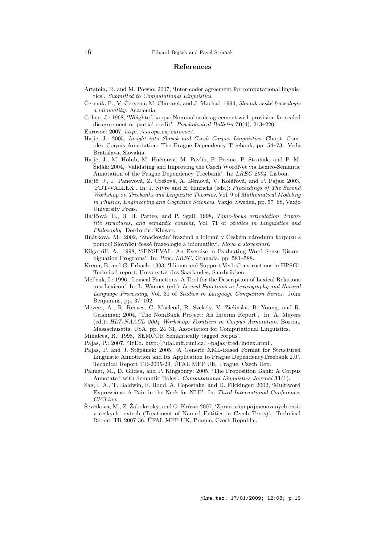## References

- Artstein, R. and M. Poesio: 2007, 'Inter-coder agreement for computational linguistics'. Submitted to Computational Linguistics.
- Čermák, F., V. Červená, M. Churavý, and J. Machač: 1994, Slovník české frazeologie a idiomatiky. Academia.
- Cohen, J.: 1968, 'Weighted kappa: Nominal scale agreement with provision for scaled disagreement or partial credit'. Psychological Bulletin 70(4), 213–220.

Eurovoc: 2007, http://europa.eu/eurovoc/.

- Hajič, J.: 2005, Insight into Slovak and Czech Corpus Linguistics, Chapt. Complex Corpus Annotation: The Prague Dependency Treebank, pp. 54–73. Veda Bratislava, Slovakia.
- Hajič, J., M. Holub, M. Hučínová, M. Pavlík, P. Pecina, P. Straňák, and P. M. Šidák: 2004, 'Validating and Improving the Czech WordNet via Lexico-Semantic Annotation of the Prague Dependency Treebank'. In: LREC 2004. Lisbon.
- Hajič, J., J. Panevová, Z. Urešová, A. Bémová, V. Kolářová, and P. Pajas: 2003, 'PDT-VALLEX'. In: J. Nivre and E. Hinrichs (eds.): Proceedings of The Second Workshop on Treebanks and Linguistic Theories, Vol. 9 of Mathematical Modeling in Physics, Engineering and Cognitive Sciences. Vaxjo, Sweden, pp. 57–68, Vaxjo University Press.
- Hajičová, E., B. H. Partee, and P. Sgall: 1998, Topic-focus articulation, tripartite structures, and semantic content, Vol. 71 of Studies in Linguistics and Philosophy. Dordrecht: Kluwer.
- Hnátková, M.: 2002, 'Značkování frazémů a idiomů v Českém národním korpusu s pomocí Slovníku české frazeologie a idiomatiky'. Slovo a slovesnost.
- Kilgarriff, A.: 1998, 'SENSEVAL: An Exercise in Evaluating Word Sense Disambiguation Programs'. In: Proc. LREC. Granada, pp. 581–588.
- Krenn, B. and G. Erbach: 1993, 'Idioms and Support Verb Constructions in HPSG'. Technical report, Universität des Saarlandes, Saarbrücken.
- Mel'čuk, I.: 1996, 'Lexical Functions: A Tool for the Description of Lexical Relations in a Lexicon'. In: L. Wanner (ed.): Lexical Functions in Lexicography and Natural Language Processing, Vol. 31 of Studies in Language Companion Series. John Benjamins, pp. 37–102.
- Meyers, A., R. Reeves, C. Macleod, R. Szekely, V. Zielinska, B. Young, and R. Grishman: 2004, 'The NomBank Project: An Interim Report'. In: A. Meyers (ed.): HLT-NAACL 2004 Workshop: Frontiers in Corpus Annotation. Boston, Massachusetts, USA, pp. 24–31, Association for Computational Linguistics.
- Mihalcea, R.: 1998, 'SEMCOR Semantically tagged corpus'.
- Pajas, P.: 2007, 'TrEd. http://ufal.mff.cuni.cz/∼pajas/tred/index.html'.
- Pajas, P. and J. Štěpánek: 2005, 'A Generic XML-Based Format for Structured Linguistic Annotation and Its Application to Prague DependencyTreebank 2.0'. Technical Report TR-2005-29, ÚFAL MFF UK, Prague, Czech Rep.
- Palmer, M., D. Gildea, and P. Kingsbury: 2005, 'The Proposition Bank: A Corpus Annotated with Semantic Roles'. Computational Linguistics Journal 31(1).
- Sag, I. A., T. Baldwin, F. Bond, A. Copestake, and D. Flickinger: 2002, 'Multiword Expressions: A Pain in the Neck for NLP'. In: Third International Conference, CICLing.
- Ševčíková, M., Z. Žabokrtský, and O. Krůza: 2007, 'Zpracování pojmenovaných entit v českých textech (Treatment of Named Entities in Czech Texts)'. Technical Report TR-2007-36, ÚFAL MFF UK, Prague, Czech Republic.